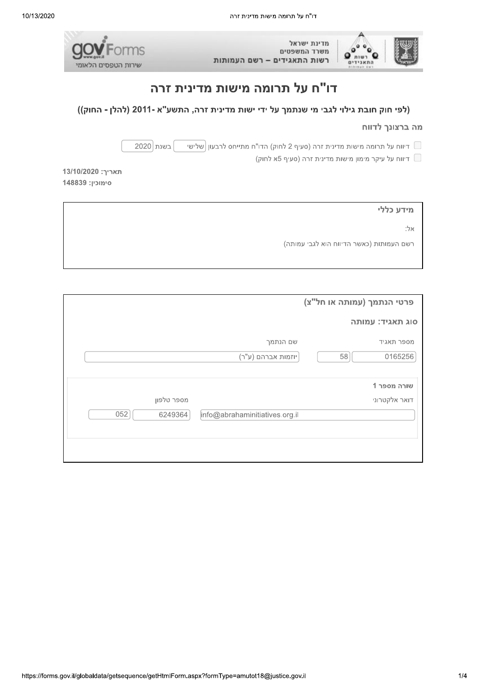



# דו"ח על תרומה מישות מדינית זרה

### (לפי חוק חובת גילוי לגבי מי שנתמך על ידי ישות מדינית זרה, התשע"א -2011 (להלן - החוק))

#### מה ברצונך לדווח

בשנת 2020 דיווח על תרומה מישות מדינית זרה (סעיף 2 לחוק) הדו"ח מתייחס לרבעון  $\vert$ שלישי  $\Box$ 

ריווח על עיקר מימון מישות מדינית זרה (סעיף 5א לחוק) <u>Γ</u>

13/10/2020 תאריך: 148839 :סימוכין

| מידע כללי                                |  |
|------------------------------------------|--|
| אלי                                      |  |
| רשם העמותות (כאשר הדיווח הוא לגבי עמותה) |  |

|                |                                | פרטי הנתמך (עמותה או חל"צ)   |
|----------------|--------------------------------|------------------------------|
|                |                                | סוג תאגיד: עמותה             |
|                | שם הנתמך                       | מספר תאגיד                   |
|                | יוזמות אברהם (ע"ר)             | 58<br>0165256                |
| מספר טלפון     |                                | שורה מספר 1<br>דואר אלקטרוני |
| 052<br>6249364 | info@abrahaminitiatives.org.il |                              |
|                |                                |                              |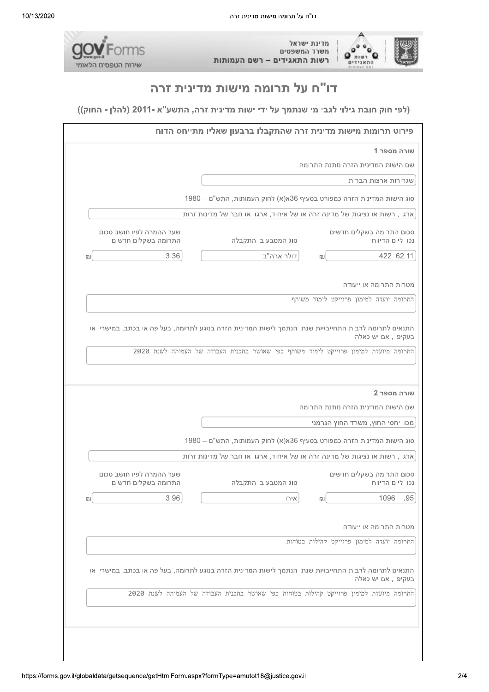



# דו"ח על תרומה מישות מדינית זרה

#### (לפי חוק חובת גילוי לגבי מי שנתמך על ידי ישות מדינית זרה, התשע"א -2011 (להלן - החוק))

| שורה מספר 1<br>שם הישות המדינית הזרה נותנת התרומה<br>שגרירות ארצות הברית<br>1980 – סוג הישות המדינית הזרה כמפורט בסעיף 36א(א) לחוק העמותות, התש"ם<br>ארגו, רשות או נציגות של מדינה זרה או של איחוד, ארגו או חבר של מדינות זרות<br>סכום התרומה בשקלים חדשים<br>שער ההמרה לפיו חושב סכום<br>התרומה בשקלים חדשים<br>סוג המטבע בו התקבלה<br>נכו ליום הדיווח<br>דולר ארה"ב<br>3.36<br>422 62.11<br>回<br>מטרות התרומה או ייעודה<br>התרומה יועדה למימון פרוייקט לימוד משותף<br>התנאים לתרומה לרבות התחייבויות שנת הנתמך לישות המדינית הזרה בנוגע לתרומה, בעל פה או בכתב, במישרי או<br>בעקיפי, אם יש כאלה<br>התרומה מיועדת למימון פרוייקט לימוד משותף כפי שאושר בתכנית העבודה של העמותה לשנת 2020<br>שורה מספר 2<br>שם הישות המדינית הזרה נותנת התרומה<br>מכו יחסי החוץ, משרד החוץ הגרמני<br>1980 – סוג הישות המדינית הזרה כמפורט בסעיף 36א(א) לחוק העמותות, התש"ם<br>ארגו, רשות או נציגות של מדינה זרה או של איחוד, ארגו או חבר של מדינות זרות<br>סכום התרומה בשקלים חדשים<br>שער ההמרה לפיו חושב סכום<br>נכו ליום הדיווח<br>התרומה בשקלים חדשים<br>סוג המטבע בו התקבלה<br>.95<br>3.96<br>1096<br>אירו<br>心<br>מטרות התרומה או ייעודה<br>התרומה יועדה למימון פרוייקט קהילות בטוחות<br>התנאים לתרומה לרבות התחייבויות שנת הנתמך לישות המדינית הזרה בנוגע לתרומה, בעל פה או בכתב, במישרי או<br>בעקיפי , אם יש כאלה<br>התרומה מיועדת למימון פרוייקט קהילות בטוחות כפי שאושר בתכנית העבודה של העמותה לשנת 2020 |  | פירוט תרומות מישות מדינית זרה שהתקבלו ברבעון שאליו מתייחס הדוח |   |
|-----------------------------------------------------------------------------------------------------------------------------------------------------------------------------------------------------------------------------------------------------------------------------------------------------------------------------------------------------------------------------------------------------------------------------------------------------------------------------------------------------------------------------------------------------------------------------------------------------------------------------------------------------------------------------------------------------------------------------------------------------------------------------------------------------------------------------------------------------------------------------------------------------------------------------------------------------------------------------------------------------------------------------------------------------------------------------------------------------------------------------------------------------------------------------------------------------------------------------------------------------------------------------------------------------------------------------------------------------------------------------------------------------|--|----------------------------------------------------------------|---|
|                                                                                                                                                                                                                                                                                                                                                                                                                                                                                                                                                                                                                                                                                                                                                                                                                                                                                                                                                                                                                                                                                                                                                                                                                                                                                                                                                                                                     |  |                                                                |   |
|                                                                                                                                                                                                                                                                                                                                                                                                                                                                                                                                                                                                                                                                                                                                                                                                                                                                                                                                                                                                                                                                                                                                                                                                                                                                                                                                                                                                     |  |                                                                |   |
|                                                                                                                                                                                                                                                                                                                                                                                                                                                                                                                                                                                                                                                                                                                                                                                                                                                                                                                                                                                                                                                                                                                                                                                                                                                                                                                                                                                                     |  |                                                                |   |
|                                                                                                                                                                                                                                                                                                                                                                                                                                                                                                                                                                                                                                                                                                                                                                                                                                                                                                                                                                                                                                                                                                                                                                                                                                                                                                                                                                                                     |  |                                                                |   |
|                                                                                                                                                                                                                                                                                                                                                                                                                                                                                                                                                                                                                                                                                                                                                                                                                                                                                                                                                                                                                                                                                                                                                                                                                                                                                                                                                                                                     |  |                                                                |   |
|                                                                                                                                                                                                                                                                                                                                                                                                                                                                                                                                                                                                                                                                                                                                                                                                                                                                                                                                                                                                                                                                                                                                                                                                                                                                                                                                                                                                     |  |                                                                |   |
|                                                                                                                                                                                                                                                                                                                                                                                                                                                                                                                                                                                                                                                                                                                                                                                                                                                                                                                                                                                                                                                                                                                                                                                                                                                                                                                                                                                                     |  |                                                                | 凹 |
|                                                                                                                                                                                                                                                                                                                                                                                                                                                                                                                                                                                                                                                                                                                                                                                                                                                                                                                                                                                                                                                                                                                                                                                                                                                                                                                                                                                                     |  |                                                                |   |
|                                                                                                                                                                                                                                                                                                                                                                                                                                                                                                                                                                                                                                                                                                                                                                                                                                                                                                                                                                                                                                                                                                                                                                                                                                                                                                                                                                                                     |  |                                                                |   |
|                                                                                                                                                                                                                                                                                                                                                                                                                                                                                                                                                                                                                                                                                                                                                                                                                                                                                                                                                                                                                                                                                                                                                                                                                                                                                                                                                                                                     |  |                                                                |   |
|                                                                                                                                                                                                                                                                                                                                                                                                                                                                                                                                                                                                                                                                                                                                                                                                                                                                                                                                                                                                                                                                                                                                                                                                                                                                                                                                                                                                     |  |                                                                |   |
|                                                                                                                                                                                                                                                                                                                                                                                                                                                                                                                                                                                                                                                                                                                                                                                                                                                                                                                                                                                                                                                                                                                                                                                                                                                                                                                                                                                                     |  |                                                                |   |
|                                                                                                                                                                                                                                                                                                                                                                                                                                                                                                                                                                                                                                                                                                                                                                                                                                                                                                                                                                                                                                                                                                                                                                                                                                                                                                                                                                                                     |  |                                                                |   |
|                                                                                                                                                                                                                                                                                                                                                                                                                                                                                                                                                                                                                                                                                                                                                                                                                                                                                                                                                                                                                                                                                                                                                                                                                                                                                                                                                                                                     |  |                                                                |   |
|                                                                                                                                                                                                                                                                                                                                                                                                                                                                                                                                                                                                                                                                                                                                                                                                                                                                                                                                                                                                                                                                                                                                                                                                                                                                                                                                                                                                     |  |                                                                |   |
|                                                                                                                                                                                                                                                                                                                                                                                                                                                                                                                                                                                                                                                                                                                                                                                                                                                                                                                                                                                                                                                                                                                                                                                                                                                                                                                                                                                                     |  |                                                                | 凹 |
|                                                                                                                                                                                                                                                                                                                                                                                                                                                                                                                                                                                                                                                                                                                                                                                                                                                                                                                                                                                                                                                                                                                                                                                                                                                                                                                                                                                                     |  |                                                                |   |
|                                                                                                                                                                                                                                                                                                                                                                                                                                                                                                                                                                                                                                                                                                                                                                                                                                                                                                                                                                                                                                                                                                                                                                                                                                                                                                                                                                                                     |  |                                                                |   |
|                                                                                                                                                                                                                                                                                                                                                                                                                                                                                                                                                                                                                                                                                                                                                                                                                                                                                                                                                                                                                                                                                                                                                                                                                                                                                                                                                                                                     |  |                                                                |   |
|                                                                                                                                                                                                                                                                                                                                                                                                                                                                                                                                                                                                                                                                                                                                                                                                                                                                                                                                                                                                                                                                                                                                                                                                                                                                                                                                                                                                     |  |                                                                |   |
|                                                                                                                                                                                                                                                                                                                                                                                                                                                                                                                                                                                                                                                                                                                                                                                                                                                                                                                                                                                                                                                                                                                                                                                                                                                                                                                                                                                                     |  |                                                                |   |
|                                                                                                                                                                                                                                                                                                                                                                                                                                                                                                                                                                                                                                                                                                                                                                                                                                                                                                                                                                                                                                                                                                                                                                                                                                                                                                                                                                                                     |  |                                                                |   |
|                                                                                                                                                                                                                                                                                                                                                                                                                                                                                                                                                                                                                                                                                                                                                                                                                                                                                                                                                                                                                                                                                                                                                                                                                                                                                                                                                                                                     |  |                                                                |   |
|                                                                                                                                                                                                                                                                                                                                                                                                                                                                                                                                                                                                                                                                                                                                                                                                                                                                                                                                                                                                                                                                                                                                                                                                                                                                                                                                                                                                     |  |                                                                |   |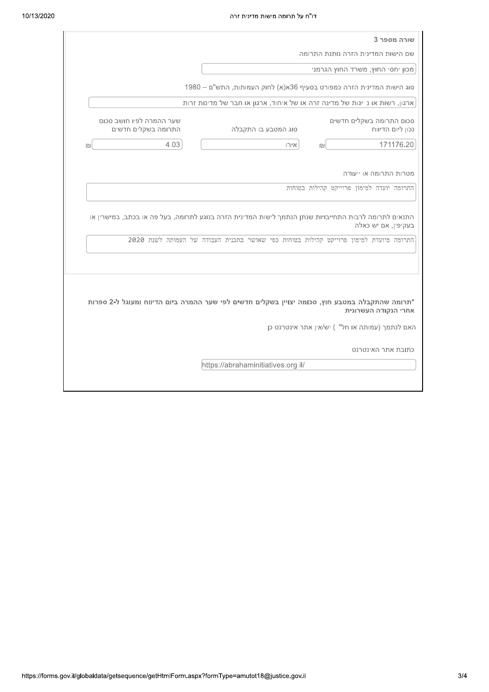| שורה מספר 3                                                                                                                                                                                                            |                                                 |
|------------------------------------------------------------------------------------------------------------------------------------------------------------------------------------------------------------------------|-------------------------------------------------|
| שם הישות המדינית הזרה נותנת התרומה                                                                                                                                                                                     |                                                 |
| מכון יחסי החוץ, משרד החוץ הגרמני                                                                                                                                                                                       |                                                 |
| 1980 – סוג הישות המדינית הזרה כמפורט בסעיף 36א(א) לחוק העמותות, התש"ם                                                                                                                                                  |                                                 |
| ארגון, רשות או ניגות של מדינה זרה או של איחוד, ארגון או חבר של מדינות זרות                                                                                                                                             |                                                 |
| סכום התרומה בשקלים חדשים<br>סוג המטבע בו התקבלה<br>נכון ליום הדיווח                                                                                                                                                    | שער ההמרה לפיו חושב סכום<br>התרומה בשקלים חדשים |
| 171176.20<br>אירו<br>回                                                                                                                                                                                                 | 4.03                                            |
| התרומה יועדה למימון פרוייקט קהילות בטוחות                                                                                                                                                                              |                                                 |
| התנאים לתרומה לרבות התחייבויות שנתן הנתמך לישות המדינית הזרה בנוגע לתרומה, בעל פה או בכתב, במישרין או<br>בעקיפין, אם יש כאלה<br>התרומה מיועדת למימון פרוייקט קהילות בטוחות כפי שאושר בתכנית העבודה של העמותה לשנת 2020 |                                                 |
|                                                                                                                                                                                                                        |                                                 |
| *תרומה שהתקבלה במטבע חוץ, סכומה יצויין בשקלים חדשים לפי שער ההמרה ביום הדיווח ומעוגל ל-2 ספרות<br>אחרי הנקודה העשרונית<br>האם לנתמך (עמותה או חל") יש/אין אתר אינטרנט כן<br>כתובת אתר האינטרנט                         |                                                 |